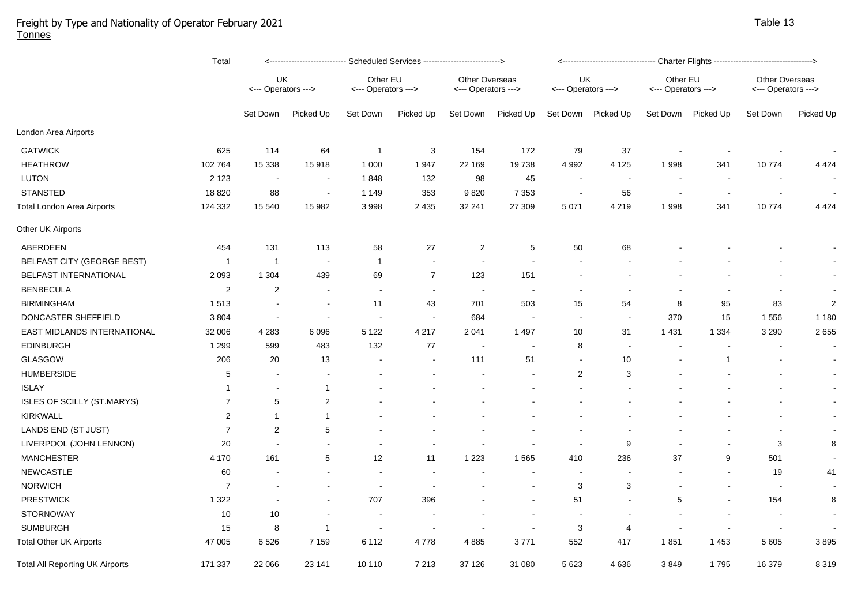## Freight by Type and Nationality of Operator February 2021 Tonnes

|                                        | <b>Total</b>     | <u>&lt;---------------------------- Scheduled Services ---------------------------&gt;</u> |                |                                 |                |                                       |                          |                           | <u>&lt;---------------------------------- Charter Flights ---------------------------------&gt;</u> |                                 |                |                                              |            |  |  |
|----------------------------------------|------------------|--------------------------------------------------------------------------------------------|----------------|---------------------------------|----------------|---------------------------------------|--------------------------|---------------------------|-----------------------------------------------------------------------------------------------------|---------------------------------|----------------|----------------------------------------------|------------|--|--|
|                                        |                  | UK<br><--- Operators --->                                                                  |                | Other EU<br><--- Operators ---> |                | Other Overseas<br><--- Operators ---> |                          | UK<br><--- Operators ---> |                                                                                                     | Other EU<br><--- Operators ---> |                | <b>Other Overseas</b><br><--- Operators ---> |            |  |  |
|                                        |                  | Set Down                                                                                   | Picked Up      | Set Down                        | Picked Up      | Set Down                              | Picked Up                | Set Down                  | Picked Up                                                                                           | Set Down                        | Picked Up      | Set Down                                     | Picked Up  |  |  |
| London Area Airports                   |                  |                                                                                            |                |                                 |                |                                       |                          |                           |                                                                                                     |                                 |                |                                              |            |  |  |
| <b>GATWICK</b>                         | 625              | 114                                                                                        | 64             | $\overline{1}$                  | 3              | 154                                   | 172                      | 79                        | 37                                                                                                  | $\overline{a}$                  |                |                                              |            |  |  |
| <b>HEATHROW</b>                        | 102 764          | 15 3 38                                                                                    | 15918          | 1 0 0 0                         | 1947           | 22 169                                | 19738                    | 4 9 9 2                   | 4 1 2 5                                                                                             | 1998                            | 341            | 10774                                        | 4 4 2 4    |  |  |
| <b>LUTON</b>                           | 2 1 2 3          | $\sim$                                                                                     | $\sim$         | 1848                            | 132            | 98                                    | 45                       |                           |                                                                                                     |                                 |                | $\sim$                                       |            |  |  |
| <b>STANSTED</b>                        | 18 8 20          | 88                                                                                         | $\sim$         | 1 1 4 9                         | 353            | 9820                                  | 7 3 5 3                  | $\blacksquare$            | 56                                                                                                  | $\overline{\phantom{a}}$        |                | $\blacksquare$                               |            |  |  |
| Total London Area Airports             | 124 332          | 15 540                                                                                     | 15 982         | 3998                            | 2 4 3 5        | 32 241                                | 27 309                   | 5 0 7 1                   | 4 2 1 9                                                                                             | 1998                            | 341            | 10774                                        | 4 4 2 4    |  |  |
| Other UK Airports                      |                  |                                                                                            |                |                                 |                |                                       |                          |                           |                                                                                                     |                                 |                |                                              |            |  |  |
| ABERDEEN                               | 454              | 131                                                                                        | 113            | 58                              | 27             | $\overline{c}$                        | $\overline{5}$           | 50                        | 68                                                                                                  |                                 |                |                                              |            |  |  |
| BELFAST CITY (GEORGE BEST)             | -1               | $\overline{1}$                                                                             | $\sim$         | $\overline{1}$                  | $\sim$         | $\sim$                                | $\blacksquare$           | $\overline{\phantom{a}}$  |                                                                                                     |                                 |                |                                              | $\sim$     |  |  |
| BELFAST INTERNATIONAL                  | 2 0 9 3          | 1 3 0 4                                                                                    | 439            | 69                              | $\overline{7}$ | 123                                   | 151                      |                           |                                                                                                     |                                 |                |                                              | $\sim$     |  |  |
| <b>BENBECULA</b>                       | $\overline{2}$   | 2                                                                                          | $\sim$         | $\sim$                          | $\sim$         | $\sim$                                | $\blacksquare$           | $\sim$                    | $\blacksquare$                                                                                      | $\overline{\phantom{a}}$        |                | $\blacksquare$                               | $\sim$     |  |  |
| <b>BIRMINGHAM</b>                      | 1513             | $\sim$                                                                                     | $\sim$         | 11                              | 43             | 701                                   | 503                      | 15                        | 54                                                                                                  | 8                               | 95             | 83                                           | $\sqrt{2}$ |  |  |
| DONCASTER SHEFFIELD                    | 3804             | $\sim$                                                                                     | $\sim$         | $\sim$                          | $\sim$         | 684                                   | $\overline{\phantom{a}}$ | $\sim$                    | $\sim$                                                                                              | 370                             | 15             | 1556                                         | 1 1 8 0    |  |  |
| EAST MIDLANDS INTERNATIONAL            | 32 006           | 4 2 8 3                                                                                    | 6 0 9 6        | 5 1 2 2                         | 4 2 1 7        | 2 0 4 1                               | 1 4 9 7                  | 10                        | 31                                                                                                  | 1 4 3 1                         | 1 3 3 4        | 3 2 9 0                                      | 2 6 5 5    |  |  |
| <b>EDINBURGH</b>                       | 1 2 9 9          | 599                                                                                        | 483            | 132                             | 77             |                                       | ÷,                       | 8                         |                                                                                                     |                                 |                |                                              | $\sim$     |  |  |
| GLASGOW                                | 206              | 20                                                                                         | 13             |                                 |                | 111                                   | 51                       | $\sim$                    | 10                                                                                                  |                                 | $\overline{1}$ |                                              | $\sim$     |  |  |
| <b>HUMBERSIDE</b>                      | 5                | $\overline{\phantom{a}}$                                                                   |                |                                 |                |                                       |                          | $\overline{c}$            | 3                                                                                                   |                                 |                |                                              | $\sim$     |  |  |
| <b>ISLAY</b>                           | -1               | $\blacksquare$                                                                             | -1             |                                 |                |                                       |                          |                           |                                                                                                     |                                 |                |                                              | $\sim$     |  |  |
| ISLES OF SCILLY (ST.MARYS)             | $\overline{7}$   | $5\phantom{.0}$                                                                            | 2              |                                 |                |                                       |                          |                           |                                                                                                     |                                 |                |                                              | $\sim$     |  |  |
| <b>KIRKWALL</b>                        | $\boldsymbol{2}$ | $\mathbf{1}$                                                                               | $\overline{1}$ |                                 |                |                                       |                          |                           |                                                                                                     |                                 |                |                                              | $\sim$     |  |  |
| LANDS END (ST JUST)                    | $\overline{7}$   | 2                                                                                          | 5              |                                 |                |                                       |                          |                           |                                                                                                     |                                 |                | $\blacksquare$                               | $\sim$     |  |  |
| LIVERPOOL (JOHN LENNON)                | 20               | $\overline{\phantom{a}}$                                                                   |                |                                 |                |                                       |                          |                           | 9                                                                                                   | $\overline{a}$                  |                | 3                                            | 8          |  |  |
| <b>MANCHESTER</b>                      | 4 1 7 0          | 161                                                                                        | 5              | 12                              | 11             | 1 2 2 3                               | 1565                     | 410                       | 236                                                                                                 | 37                              | 9              | 501                                          | $\sim$     |  |  |
| <b>NEWCASTLE</b>                       | 60               | $\overline{\phantom{a}}$                                                                   |                | $\sim$                          |                |                                       | $\overline{\phantom{a}}$ | $\blacksquare$            |                                                                                                     |                                 |                | 19                                           | 41         |  |  |
| <b>NORWICH</b>                         | $\overline{7}$   | $\overline{\phantom{a}}$                                                                   |                | $\sim$                          |                |                                       |                          | 3                         | 3                                                                                                   | $\sim$                          |                | $\sim$                                       | $\sim$     |  |  |
| <b>PRESTWICK</b>                       | 1 3 2 2          | $\sim$                                                                                     |                | 707                             | 396            |                                       |                          | 51                        | $\blacksquare$                                                                                      | $\,$ 5 $\,$                     |                | 154                                          | 8          |  |  |
| <b>STORNOWAY</b>                       | 10               | 10                                                                                         |                | $\sim$                          |                | $\overline{\phantom{a}}$              | $\sim$                   | $\sim$                    | $\sim$                                                                                              | $\sim$                          |                | $\blacksquare$                               | $\sim$     |  |  |
| <b>SUMBURGH</b>                        | 15               | 8                                                                                          | $\overline{1}$ | $\blacksquare$                  |                | $\blacksquare$                        | $\blacksquare$           | 3                         | $\overline{4}$                                                                                      | $\overline{\phantom{a}}$        |                | $\blacksquare$                               |            |  |  |
| <b>Total Other UK Airports</b>         | 47 005           | 6526                                                                                       | 7 1 5 9        | 6 1 1 2                         | 4778           | 4 8 8 5                               | 3771                     | 552                       | 417                                                                                                 | 1851                            | 1453           | 5 605                                        | 3895       |  |  |
| <b>Total All Reporting UK Airports</b> | 171 337          | 22 066                                                                                     | 23 141         | 10 110                          | 7 2 1 3        | 37 126                                | 31 080                   | 5 6 23                    | 4636                                                                                                | 3849                            | 1795           | 16 379                                       | 8 3 1 9    |  |  |